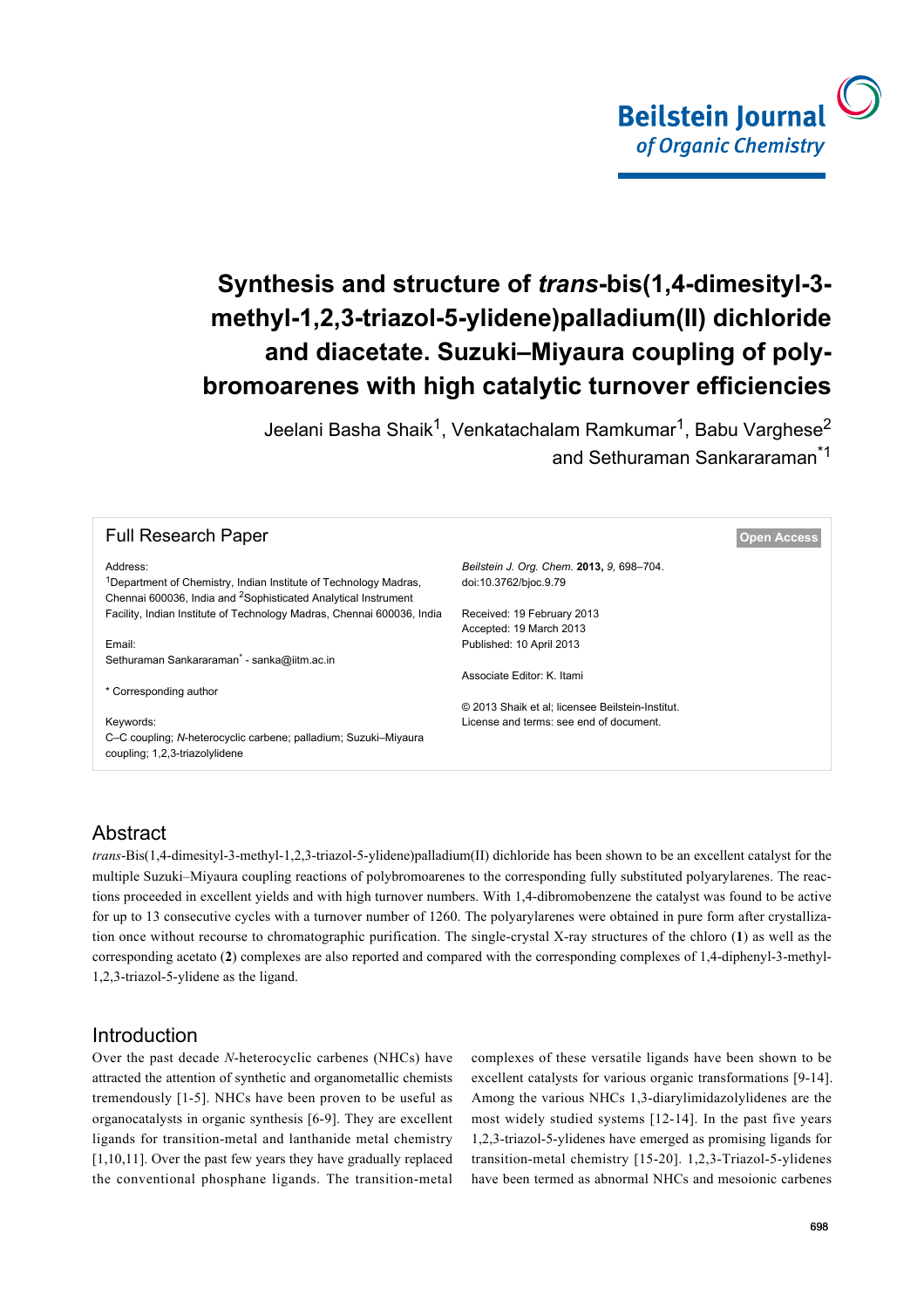

# **Synthesis and structure of** *trans***-bis(1,4-dimesityl-3 methyl-1,2,3-triazol-5-ylidene)palladium(II) dichloride and diacetate. Suzuki–Miyaura coupling of polybromoarenes with high catalytic turnover efficiencies**

Jeelani Basha Shaik<sup>1</sup>, Venkatachalam Ramkumar<sup>1</sup>, Babu Varghese<sup>2</sup> and Sethuraman Sankararaman\*1

| <b>Open Access</b>                               |  |  |  |  |  |
|--------------------------------------------------|--|--|--|--|--|
| Beilstein J. Org. Chem. 2013, 9, 698-704.        |  |  |  |  |  |
| doi:10.3762/bjoc.9.79                            |  |  |  |  |  |
| Received: 19 February 2013                       |  |  |  |  |  |
| Accepted: 19 March 2013                          |  |  |  |  |  |
| Published: 10 April 2013                         |  |  |  |  |  |
| Sethuraman Sankararaman* - sanka@iitm.ac.in      |  |  |  |  |  |
| Associate Editor: K. Itami                       |  |  |  |  |  |
|                                                  |  |  |  |  |  |
| © 2013 Shaik et al; licensee Beilstein-Institut. |  |  |  |  |  |
| License and terms: see end of document.          |  |  |  |  |  |
|                                                  |  |  |  |  |  |
|                                                  |  |  |  |  |  |

# Abstract

*trans*-Bis(1,4-dimesityl-3-methyl-1,2,3-triazol-5-ylidene)palladium(II) dichloride has been shown to be an excellent catalyst for the multiple Suzuki–Miyaura coupling reactions of polybromoarenes to the corresponding fully substituted polyarylarenes. The reactions proceeded in excellent yields and with high turnover numbers. With 1,4-dibromobenzene the catalyst was found to be active for up to 13 consecutive cycles with a turnover number of 1260. The polyarylarenes were obtained in pure form after crystallization once without recourse to chromatographic purification. The single-crystal X-ray structures of the chloro (**1**) as well as the corresponding acetato (**2**) complexes are also reported and compared with the corresponding complexes of 1,4-diphenyl-3-methyl-1,2,3-triazol-5-ylidene as the ligand.

## Introduction

Over the past decade *N*-heterocyclic carbenes (NHCs) have attracted the attention of synthetic and organometallic chemists tremendously [\[1-5\].](#page-5-0) NHCs have been proven to be useful as organocatalysts in organic synthesis [\[6-9\].](#page-6-0) They are excellent ligands for transition-metal and lanthanide metal chemistry [\[1,10,11\].](#page-5-0) Over the past few years they have gradually replaced the conventional phosphane ligands. The transition-metal

complexes of these versatile ligands have been shown to be excellent catalysts for various organic transformations [\[9-14\]](#page-6-1). Among the various NHCs 1,3-diarylimidazolylidenes are the most widely studied systems [\[12-14\]](#page-6-2). In the past five years 1,2,3-triazol-5-ylidenes have emerged as promising ligands for transition-metal chemistry [\[15-20\].](#page-6-3) 1,2,3-Triazol-5-ylidenes have been termed as abnormal NHCs and mesoionic carbenes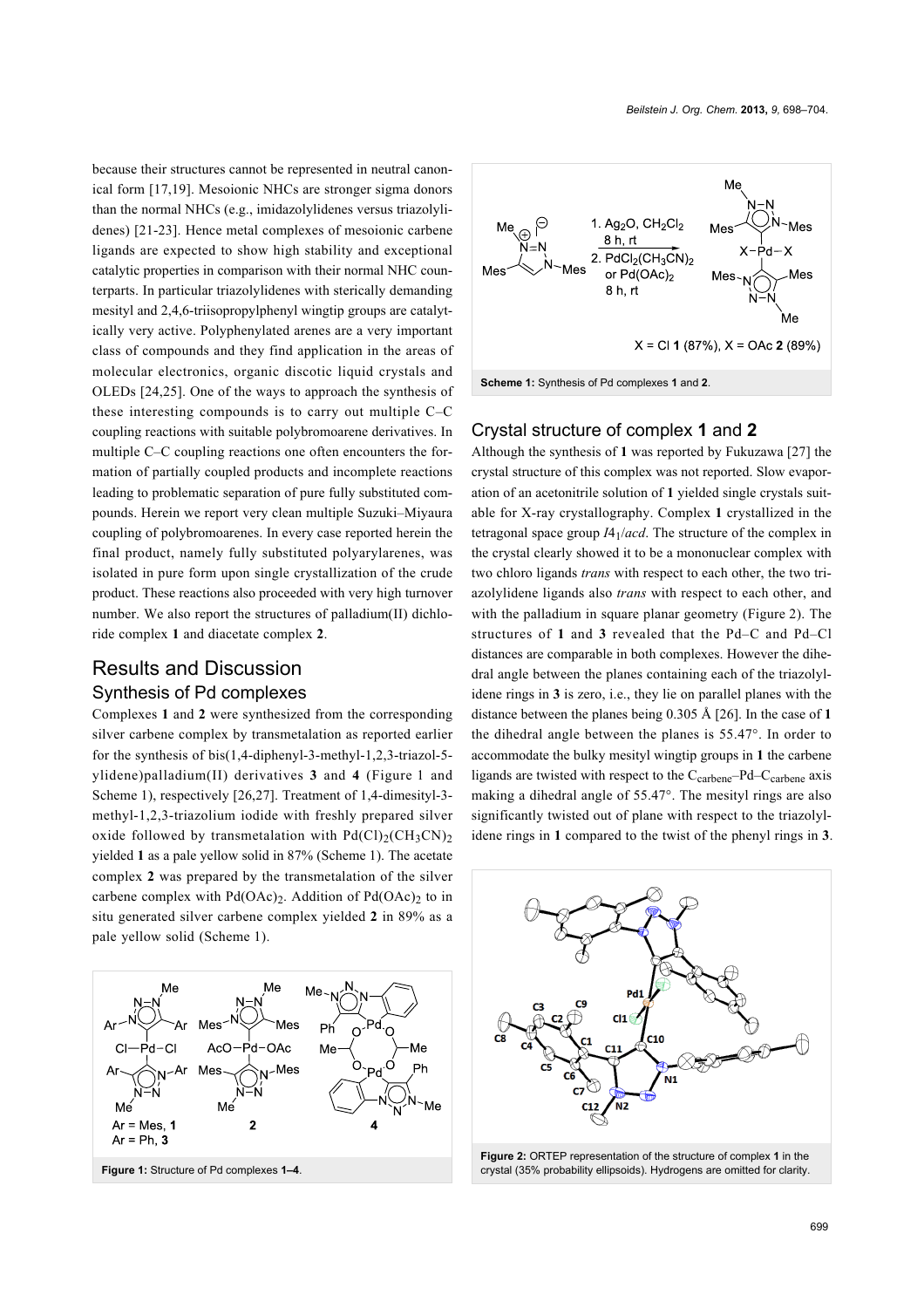because their structures cannot be represented in neutral canonical form [\[17,19\].](#page-6-4) Mesoionic NHCs are stronger sigma donors than the normal NHCs (e.g., imidazolylidenes versus triazolylidenes) [\[21-23\]](#page-6-5). Hence metal complexes of mesoionic carbene ligands are expected to show high stability and exceptional catalytic properties in comparison with their normal NHC counterparts. In particular triazolylidenes with sterically demanding mesityl and 2,4,6-triisopropylphenyl wingtip groups are catalytically very active. Polyphenylated arenes are a very important class of compounds and they find application in the areas of molecular electronics, organic discotic liquid crystals and OLEDs [\[24,25\]](#page-6-6). One of the ways to approach the synthesis of these interesting compounds is to carry out multiple C–C coupling reactions with suitable polybromoarene derivatives. In multiple C–C coupling reactions one often encounters the formation of partially coupled products and incomplete reactions leading to problematic separation of pure fully substituted compounds. Herein we report very clean multiple Suzuki–Miyaura coupling of polybromoarenes. In every case reported herein the final product, namely fully substituted polyarylarenes, was isolated in pure form upon single crystallization of the crude product. These reactions also proceeded with very high turnover number. We also report the structures of palladium(II) dichloride complex **1** and diacetate complex **2**.

# Results and Discussion Synthesis of Pd complexes

Complexes **1** and **2** were synthesized from the corresponding silver carbene complex by transmetalation as reported earlier for the synthesis of bis(1,4-diphenyl-3-methyl-1,2,3-triazol-5 ylidene)palladium(II) derivatives **3** and **4** ([Figure 1](#page-1-0) and [Scheme 1](#page-1-1)), respectively [\[26,27\].](#page-6-7) Treatment of 1,4-dimesityl-3 methyl-1,2,3-triazolium iodide with freshly prepared silver oxide followed by transmetalation with  $Pd(Cl)_2(CH_3CN)_2$ yielded **1** as a pale yellow solid in 87% ([Scheme 1](#page-1-1)). The acetate complex **2** was prepared by the transmetalation of the silver carbene complex with  $Pd(OAc)_2$ . Addition of  $Pd(OAc)_2$  to in situ generated silver carbene complex yielded **2** in 89% as a pale yellow solid ([Scheme 1](#page-1-1)).

<span id="page-1-0"></span>

<span id="page-1-1"></span>

#### Crystal structure of complex **1** and **2**

Although the synthesis of **1** was reported by Fukuzawa [\[27\]](#page-6-8) the crystal structure of this complex was not reported. Slow evaporation of an acetonitrile solution of **1** yielded single crystals suitable for X-ray crystallography. Complex **1** crystallized in the tetragonal space group *I*41/*acd*. The structure of the complex in the crystal clearly showed it to be a mononuclear complex with two chloro ligands *trans* with respect to each other, the two triazolylidene ligands also *trans* with respect to each other, and with the palladium in square planar geometry ([Figure 2\)](#page-1-2). The structures of **1** and **3** revealed that the Pd–C and Pd–Cl distances are comparable in both complexes. However the dihedral angle between the planes containing each of the triazolylidene rings in **3** is zero, i.e., they lie on parallel planes with the distance between the planes being 0.305 Å [\[26\].](#page-6-7) In the case of **1** the dihedral angle between the planes is 55.47°. In order to accommodate the bulky mesityl wingtip groups in **1** the carbene ligands are twisted with respect to the  $C_{\text{carbon}}$ – $P$ d– $C_{\text{carbon}}$  axis making a dihedral angle of 55.47°. The mesityl rings are also significantly twisted out of plane with respect to the triazolylidene rings in **1** compared to the twist of the phenyl rings in **3**.

<span id="page-1-2"></span>

**Figure 2:** ORTEP representation of the structure of complex **1** in the crystal (35% probability ellipsoids). Hydrogens are omitted for clarity.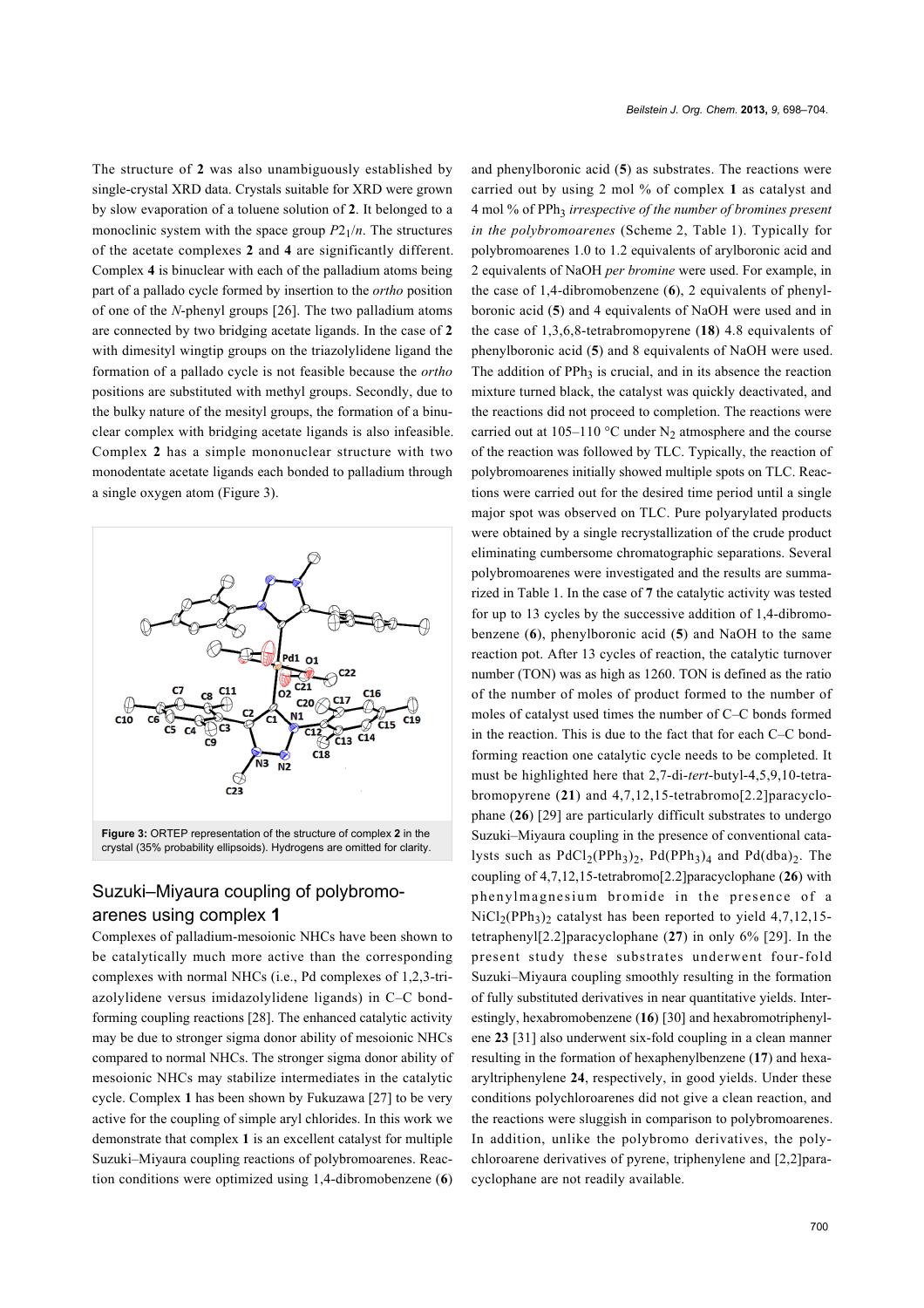The structure of **2** was also unambiguously established by single-crystal XRD data. Crystals suitable for XRD were grown by slow evaporation of a toluene solution of **2**. It belonged to a monoclinic system with the space group  $P2_1/n$ . The structures of the acetate complexes **2** and **4** are significantly different. Complex **4** is binuclear with each of the palladium atoms being part of a pallado cycle formed by insertion to the *ortho* position of one of the *N*-phenyl groups [\[26\]](#page-6-7). The two palladium atoms are connected by two bridging acetate ligands. In the case of **2** with dimesityl wingtip groups on the triazolylidene ligand the formation of a pallado cycle is not feasible because the *ortho* positions are substituted with methyl groups. Secondly, due to the bulky nature of the mesityl groups, the formation of a binuclear complex with bridging acetate ligands is also infeasible. Complex **2** has a simple mononuclear structure with two monodentate acetate ligands each bonded to palladium through a single oxygen atom [\(Figure 3](#page-2-0)).

<span id="page-2-0"></span>

# Suzuki–Miyaura coupling of polybromoarenes using complex **1**

Complexes of palladium-mesoionic NHCs have been shown to be catalytically much more active than the corresponding complexes with normal NHCs (i.e., Pd complexes of 1,2,3-triazolylidene versus imidazolylidene ligands) in C–C bondforming coupling reactions [\[28\]](#page-6-9). The enhanced catalytic activity may be due to stronger sigma donor ability of mesoionic NHCs compared to normal NHCs. The stronger sigma donor ability of mesoionic NHCs may stabilize intermediates in the catalytic cycle. Complex **1** has been shown by Fukuzawa [\[27\]](#page-6-8) to be very active for the coupling of simple aryl chlorides. In this work we demonstrate that complex **1** is an excellent catalyst for multiple Suzuki–Miyaura coupling reactions of polybromoarenes. Reaction conditions were optimized using 1,4-dibromobenzene (**6**)

and phenylboronic acid (**5**) as substrates. The reactions were carried out by using 2 mol % of complex **1** as catalyst and 4 mol % of PPh<sup>3</sup> *irrespective of the number of bromines present in the polybromoarenes* ([Scheme 2](#page-3-0), [Table 1](#page-3-1)). Typically for polybromoarenes 1.0 to 1.2 equivalents of arylboronic acid and 2 equivalents of NaOH *per bromine* were used. For example, in the case of 1,4-dibromobenzene (**6**), 2 equivalents of phenylboronic acid (**5**) and 4 equivalents of NaOH were used and in the case of 1,3,6,8-tetrabromopyrene (**18**) 4.8 equivalents of phenylboronic acid (**5**) and 8 equivalents of NaOH were used. The addition of  $PPh<sub>3</sub>$  is crucial, and in its absence the reaction mixture turned black, the catalyst was quickly deactivated, and the reactions did not proceed to completion. The reactions were carried out at 105–110 °C under N<sub>2</sub> atmosphere and the course of the reaction was followed by TLC. Typically, the reaction of polybromoarenes initially showed multiple spots on TLC. Reactions were carried out for the desired time period until a single major spot was observed on TLC. Pure polyarylated products were obtained by a single recrystallization of the crude product eliminating cumbersome chromatographic separations. Several polybromoarenes were investigated and the results are summarized in [Table 1.](#page-3-1) In the case of **7** the catalytic activity was tested for up to 13 cycles by the successive addition of 1,4-dibromobenzene (**6**), phenylboronic acid (**5**) and NaOH to the same reaction pot. After 13 cycles of reaction, the catalytic turnover number (TON) was as high as 1260. TON is defined as the ratio of the number of moles of product formed to the number of moles of catalyst used times the number of C–C bonds formed in the reaction. This is due to the fact that for each C–C bondforming reaction one catalytic cycle needs to be completed. It must be highlighted here that 2,7-di-*tert*-butyl-4,5,9,10-tetrabromopyrene (**21**) and 4,7,12,15-tetrabromo[2.2]paracyclophane (**26**) [\[29\]](#page-6-10) are particularly difficult substrates to undergo Suzuki–Miyaura coupling in the presence of conventional catalysts such as  $PdCl_2(PPh_3)_2$ ,  $Pd(PPh_3)_4$  and  $Pd(dba)_2$ . The coupling of 4,7,12,15-tetrabromo[2.2]paracyclophane (**26**) with phenylmagnesium bromide in the presence of a  $NiCl<sub>2</sub>(PPh<sub>3</sub>)<sub>2</sub>$  catalyst has been reported to yield 4,7,12,15tetraphenyl[2.2]paracyclophane (**27**) in only 6% [\[29\]](#page-6-10). In the present study these substrates underwent four-fold Suzuki–Miyaura coupling smoothly resulting in the formation of fully substituted derivatives in near quantitative yields. Interestingly, hexabromobenzene (**16**) [\[30\]](#page-6-11) and hexabromotriphenylene **23** [\[31\]](#page-6-12) also underwent six-fold coupling in a clean manner resulting in the formation of hexaphenylbenzene (**17**) and hexaaryltriphenylene **24**, respectively, in good yields. Under these conditions polychloroarenes did not give a clean reaction, and the reactions were sluggish in comparison to polybromoarenes. In addition, unlike the polybromo derivatives, the polychloroarene derivatives of pyrene, triphenylene and [2,2]paracyclophane are not readily available.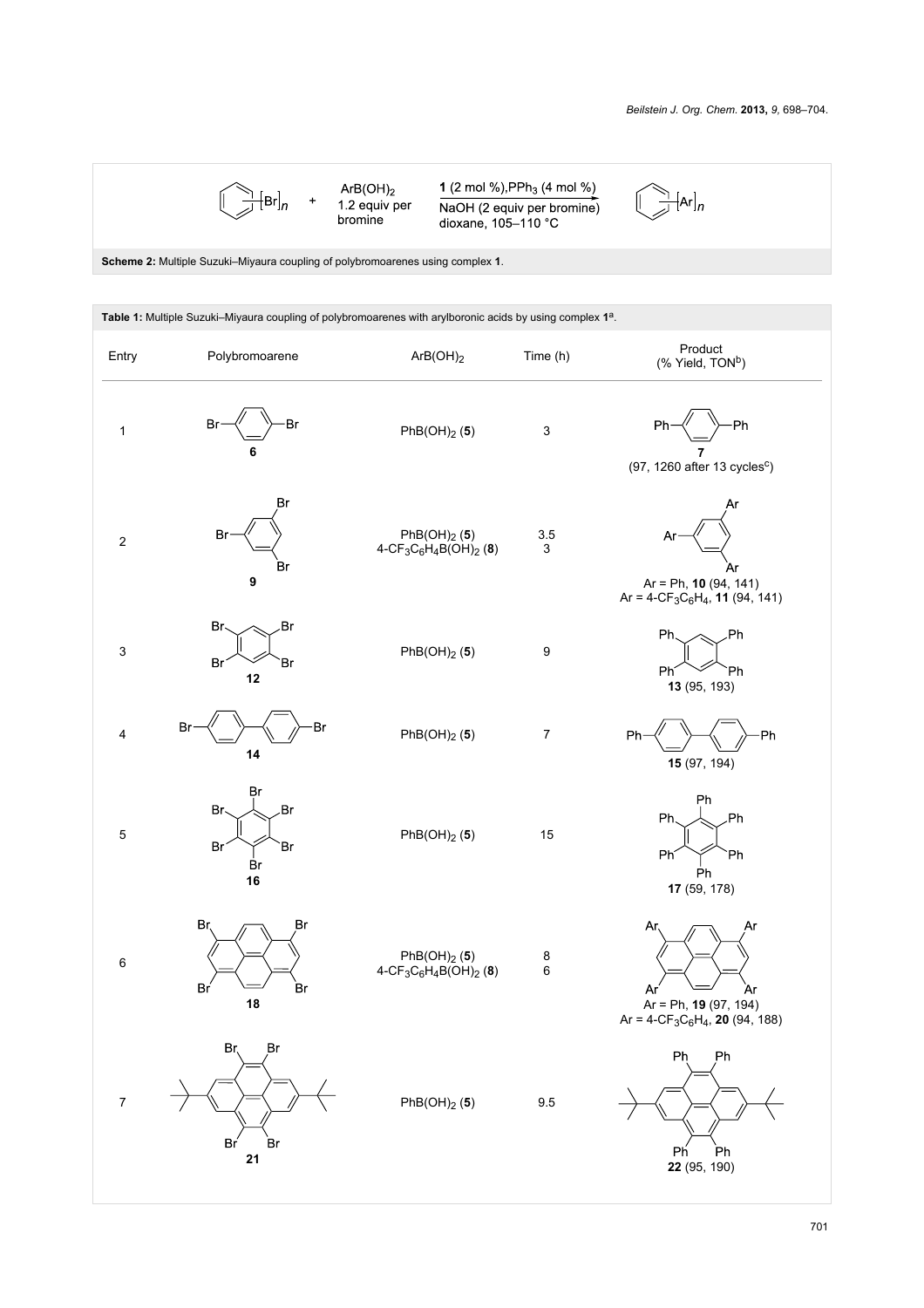<span id="page-3-0"></span>

 $ArB(OH)_2$ <br>1.2 equiv per<br>bromine

1 (2 mol %), PP $h_3$  (4 mol %) NaOH (2 equiv per bromine)<br>dioxane, 105–110 °C

 $\sum_{l=1}^{\infty}$   $\left[\text{Ar}\right]_n$ 

**Scheme 2:** Multiple Suzuki–Miyaura coupling of polybromoarenes using complex **1**.

 $\rightarrow$ 

<span id="page-3-1"></span>

| Table 1: Multiple Suzuki-Miyaura coupling of polybromoarenes with arylboronic acids by using complex 1 <sup>a</sup> . |                                         |                                                                                                    |                                      |                                                                                                                      |  |
|-----------------------------------------------------------------------------------------------------------------------|-----------------------------------------|----------------------------------------------------------------------------------------------------|--------------------------------------|----------------------------------------------------------------------------------------------------------------------|--|
| Entry                                                                                                                 | Polybromoarene                          | ArB(OH) <sub>2</sub>                                                                               | Time (h)                             | Product<br>(% Yield, TON <sup>b</sup> )                                                                              |  |
| $\mathbf 1$                                                                                                           | Br<br>Br<br>6                           | PhB(OH) <sub>2</sub> (5)                                                                           | $\ensuremath{\mathsf{3}}$            | -Ph<br>Ph<br>$(97, 1260$ after 13 cycles <sup>c</sup> )                                                              |  |
| $\boldsymbol{2}$                                                                                                      | Br<br>Br<br><b>Br</b><br>9              | PhB(OH) <sub>2</sub> (5)<br>$4-CF_3C_6H_4B(OH)_2$ (8)                                              | 3.5<br>$\ensuremath{\mathsf{3}}$     | Ar<br>Ar<br>$Ar = Ph, 10 (94, 141)$<br>Ar = $4$ -CF <sub>3</sub> C <sub>6</sub> H <sub>4</sub> , <b>11</b> (94, 141) |  |
| $\ensuremath{\mathsf{3}}$                                                                                             | Br<br>.Br<br>Br<br>Br<br>12             | PhB(OH) <sub>2</sub> (5)                                                                           | $\boldsymbol{9}$                     | .Ph<br>Ph.<br>Ph<br>`Ph<br>13 (95, 193)                                                                              |  |
| $\overline{\mathbf{4}}$                                                                                               | Br<br>Br<br>14                          | PhB(OH) <sub>2</sub> (5)                                                                           | $\boldsymbol{7}$                     | Ph<br>-Ph<br>15 (97, 194)                                                                                            |  |
| $\sqrt{5}$                                                                                                            | Br<br>.Br<br>Br<br>Br<br>Br<br>Br<br>16 | $PhB(OH)_2$ (5)                                                                                    | 15                                   | Ph<br>.Ph<br>Ph<br>Ph<br>`Ph<br>Ph<br>17 (59, 178)                                                                   |  |
| $\,6\,$                                                                                                               | Br,<br>Br<br>Bŕ<br>Br<br>18             | PhB(OH) <sub>2</sub> (5)<br>4-CF <sub>3</sub> C <sub>6</sub> H <sub>4</sub> B(OH) <sub>2</sub> (8) | $\begin{matrix} 8 \\ 6 \end{matrix}$ | <b>Ar</b><br>Ar<br>Ar<br>Ar<br>Ar = Ph, <b>19</b> (97, 194)<br>Ar = $4-CF_3C_6H_4$ , <b>20</b> (94, 188)             |  |
| $\boldsymbol{7}$                                                                                                      | Br<br>Br<br>Br'<br>Br<br>21             | $PhB(OH)_2$ (5)                                                                                    | 9.5                                  | Ph<br>Ph<br>Ph<br>Ph<br>22 (95, 190)                                                                                 |  |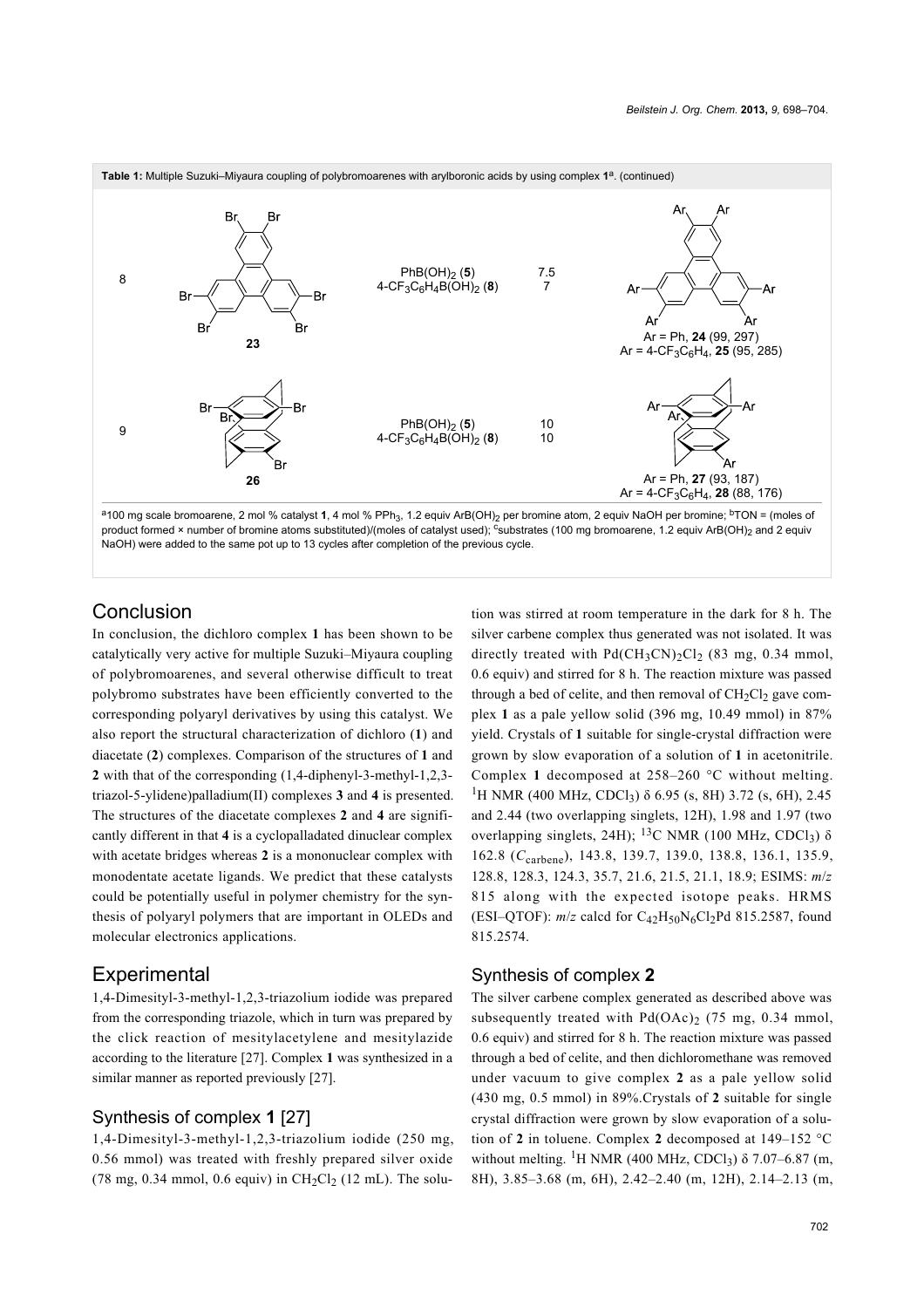

<sup>a</sup>100 mg scale bromoarene, 2 mol % catalyst **1**, 4 mol % PPh<sub>3</sub>, 1.2 equiv ArB(OH)<sub>2</sub> per bromine atom, 2 equiv NaOH per bromine; <sup>b</sup>TON = (moles of product formed × number of bromine atoms substituted)/(moles of catalyst used); csubstrates (100 mg bromoarene, 1.2 equiv ArB(OH)<sub>2</sub> and 2 equiv NaOH) were added to the same pot up to 13 cycles after completion of the previous cycle.

# Conclusion

In conclusion, the dichloro complex **1** has been shown to be catalytically very active for multiple Suzuki–Miyaura coupling of polybromoarenes, and several otherwise difficult to treat polybromo substrates have been efficiently converted to the corresponding polyaryl derivatives by using this catalyst. We also report the structural characterization of dichloro (**1**) and diacetate (**2**) complexes. Comparison of the structures of **1** and **2** with that of the corresponding (1,4-diphenyl-3-methyl-1,2,3 triazol-5-ylidene)palladium(II) complexes **3** and **4** is presented. The structures of the diacetate complexes **2** and **4** are significantly different in that **4** is a cyclopalladated dinuclear complex with acetate bridges whereas **2** is a mononuclear complex with monodentate acetate ligands. We predict that these catalysts could be potentially useful in polymer chemistry for the synthesis of polyaryl polymers that are important in OLEDs and molecular electronics applications.

### **Experimental**

1,4-Dimesityl-3-methyl-1,2,3-triazolium iodide was prepared from the corresponding triazole, which in turn was prepared by the click reaction of mesitylacetylene and mesitylazide according to the literature [\[27\]](#page-6-8). Complex **1** was synthesized in a similar manner as reported previously [\[27\]](#page-6-8).

### Synthesis of complex **1** [\[27\]](#page-6-8)

1,4-Dimesityl-3-methyl-1,2,3-triazolium iodide (250 mg, 0.56 mmol) was treated with freshly prepared silver oxide  $(78 \text{ mg}, 0.34 \text{ mmol}, 0.6 \text{ equiv})$  in  $CH_2Cl_2$  (12 mL). The solution was stirred at room temperature in the dark for 8 h. The silver carbene complex thus generated was not isolated. It was directly treated with  $Pd(CH_3CN)_2Cl_2$  (83 mg, 0.34 mmol, 0.6 equiv) and stirred for 8 h. The reaction mixture was passed through a bed of celite, and then removal of  $CH<sub>2</sub>Cl<sub>2</sub>$  gave complex **1** as a pale yellow solid (396 mg, 10.49 mmol) in 87% yield. Crystals of **1** suitable for single-crystal diffraction were grown by slow evaporation of a solution of **1** in acetonitrile. Complex **1** decomposed at 258–260 °C without melting. <sup>1</sup>H NMR (400 MHz, CDCl<sub>3</sub>) δ 6.95 (s, 8H) 3.72 (s, 6H), 2.45 and 2.44 (two overlapping singlets, 12H), 1.98 and 1.97 (two overlapping singlets, 24H); <sup>13</sup>C NMR (100 MHz, CDCl<sub>3</sub>) δ 162.8 (*C*carbene), 143.8, 139.7, 139.0, 138.8, 136.1, 135.9, 128.8, 128.3, 124.3, 35.7, 21.6, 21.5, 21.1, 18.9; ESIMS: *m*/*z* 815 along with the expected isotope peaks. HRMS (ESI–QTOF):  $m/z$  calcd for  $C_{42}H_{50}N_6Cl_2Pd 815.2587$ , found 815.2574.

#### Synthesis of complex **2**

The silver carbene complex generated as described above was subsequently treated with  $Pd(OAc)_2$  (75 mg, 0.34 mmol, 0.6 equiv) and stirred for 8 h. The reaction mixture was passed through a bed of celite, and then dichloromethane was removed under vacuum to give complex **2** as a pale yellow solid (430 mg, 0.5 mmol) in 89%.Crystals of **2** suitable for single crystal diffraction were grown by slow evaporation of a solution of **2** in toluene. Complex **2** decomposed at 149–152 °C without melting. <sup>1</sup>H NMR (400 MHz, CDCl<sub>3</sub>)  $\delta$  7.07–6.87 (m, 8H), 3.85–3.68 (m, 6H), 2.42–2.40 (m, 12H), 2.14–2.13 (m,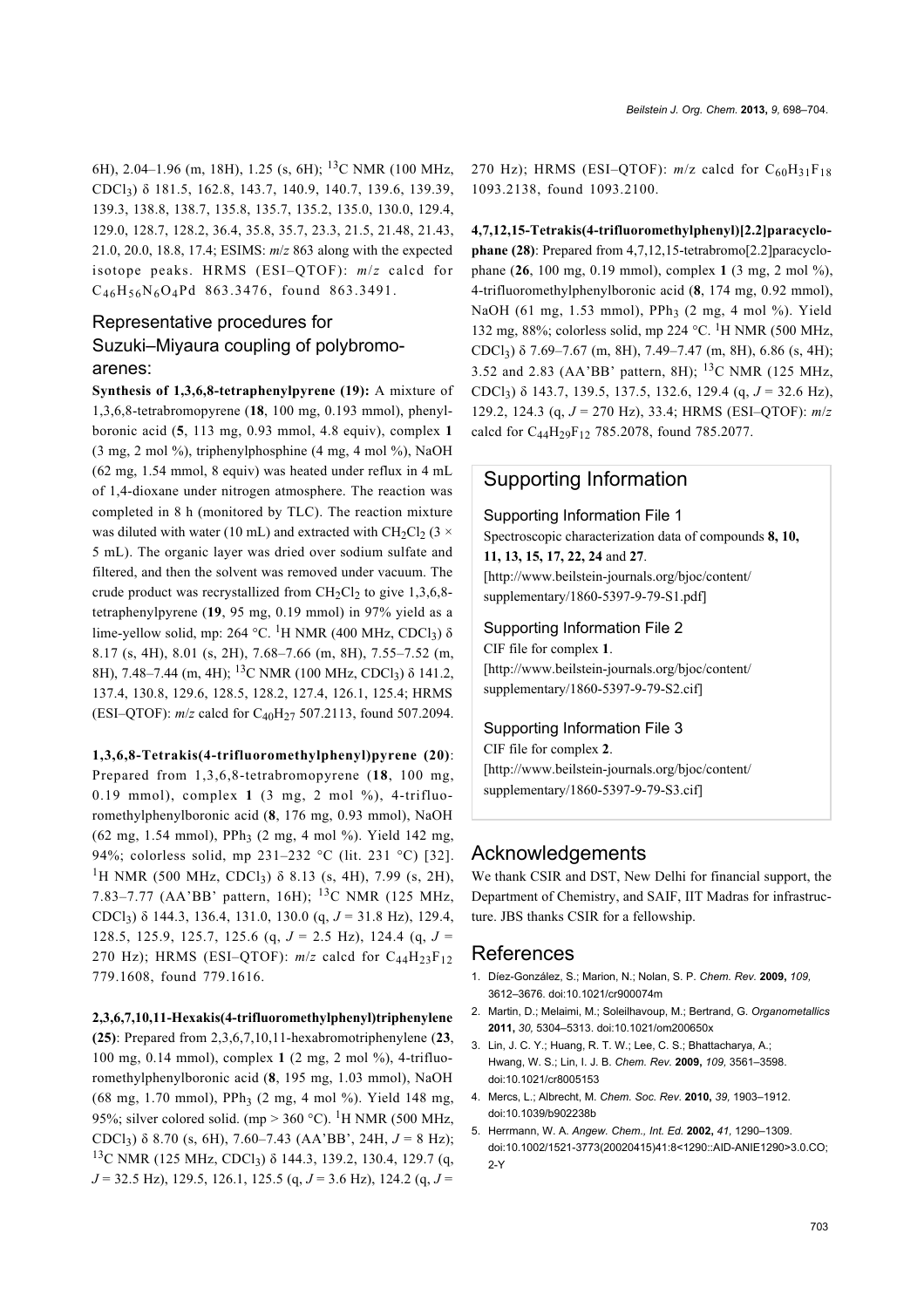6H), 2.04–1.96 (m, 18H), 1.25 (s, 6H); 13C NMR (100 MHz, CDCl3) δ 181.5, 162.8, 143.7, 140.9, 140.7, 139.6, 139.39, 139.3, 138.8, 138.7, 135.8, 135.7, 135.2, 135.0, 130.0, 129.4, 129.0, 128.7, 128.2, 36.4, 35.8, 35.7, 23.3, 21.5, 21.48, 21.43, 21.0, 20.0, 18.8, 17.4; ESIMS: *m*/*z* 863 along with the expected isotope peaks. HRMS (ESI–QTOF): *m*/*z* calcd for  $C_{46}H_{56}N_6O_4Pd$  863.3476, found 863.3491.

# Representative procedures for Suzuki–Miyaura coupling of polybromoarenes:

**Synthesis of 1,3,6,8-tetraphenylpyrene (19):** A mixture of 1,3,6,8-tetrabromopyrene (**18**, 100 mg, 0.193 mmol), phenylboronic acid (**5**, 113 mg, 0.93 mmol, 4.8 equiv), complex **1** (3 mg, 2 mol %), triphenylphosphine (4 mg, 4 mol %), NaOH (62 mg, 1.54 mmol, 8 equiv) was heated under reflux in 4 mL of 1,4-dioxane under nitrogen atmosphere. The reaction was completed in 8 h (monitored by TLC). The reaction mixture was diluted with water (10 mL) and extracted with CH<sub>2</sub>Cl<sub>2</sub> (3  $\times$ 5 mL). The organic layer was dried over sodium sulfate and filtered, and then the solvent was removed under vacuum. The crude product was recrystallized from  $CH<sub>2</sub>Cl<sub>2</sub>$  to give 1,3,6,8tetraphenylpyrene (**19**, 95 mg, 0.19 mmol) in 97% yield as a lime-yellow solid, mp: 264 °C. <sup>1</sup>H NMR (400 MHz, CDCl<sub>3</sub>)  $\delta$ 8.17 (s, 4H), 8.01 (s, 2H), 7.68–7.66 (m, 8H), 7.55–7.52 (m, 8H), 7.48–7.44 (m, 4H); <sup>13</sup>C NMR (100 MHz, CDCl<sub>3</sub>) δ 141.2, 137.4, 130.8, 129.6, 128.5, 128.2, 127.4, 126.1, 125.4; HRMS (ESI–QTOF): *m/z* calcd for C<sub>40</sub>H<sub>27</sub> 507.2113, found 507.2094.

#### **1,3,6,8-Tetrakis(4-trifluoromethylphenyl)pyrene (20)**:

Prepared from 1,3,6,8-tetrabromopyrene (**18**, 100 mg, 0.19 mmol), complex **1** (3 mg, 2 mol %), 4-trifluoromethylphenylboronic acid (**8**, 176 mg, 0.93 mmol), NaOH (62 mg, 1.54 mmol), PPh<sub>3</sub> (2 mg, 4 mol %). Yield 142 mg, 94%; colorless solid, mp 231–232 °C (lit. 231 °C) [\[32\]](#page-6-13). <sup>1</sup>H NMR (500 MHz, CDCl<sub>3</sub>)  $\delta$  8.13 (s, 4H), 7.99 (s, 2H), 7.83–7.77 (AA'BB' pattern, 16H); 13C NMR (125 MHz, CDCl<sup>3</sup> ) δ 144.3, 136.4, 131.0, 130.0 (q, *J* = 31.8 Hz), 129.4, 128.5, 125.9, 125.7, 125.6 (q, *J* = 2.5 Hz), 124.4 (q, *J* = 270 Hz); HRMS (ESI-QTOF):  $m/z$  calcd for  $C_{44}H_{23}F_{12}$ 779.1608, found 779.1616.

#### **2,3,6,7,10,11-Hexakis(4-trifluoromethylphenyl)triphenylene**

**(25)**: Prepared from 2,3,6,7,10,11-hexabromotriphenylene (**23**, 100 mg, 0.14 mmol), complex **1** (2 mg, 2 mol %), 4-trifluoromethylphenylboronic acid (**8**, 195 mg, 1.03 mmol), NaOH (68 mg, 1.70 mmol), PPh<sub>3</sub> (2 mg, 4 mol %). Yield 148 mg, 95%; silver colored solid. (mp > 360 °C). <sup>1</sup>H NMR (500 MHz, CDCl<sup>3</sup> ) δ 8.70 (s, 6H), 7.60–7.43 (AA'BB', 24H, *J* = 8 Hz); <sup>13</sup>C NMR (125 MHz, CDCl<sub>3</sub>) δ 144.3, 139.2, 130.4, 129.7 (q, *J* = 32.5 Hz), 129.5, 126.1, 125.5 (q, *J* = 3.6 Hz), 124.2 (q, *J* = 270 Hz); HRMS (ESI-QTOF):  $m/z$  calcd for  $C_{60}H_{31}F_{18}$ 1093.2138, found 1093.2100.

### **4,7,12,15-Tetrakis(4-trifluoromethylphenyl)[2.2]paracyclophane (28)**: Prepared from 4,7,12,15-tetrabromo[2.2]paracyclophane (**26**, 100 mg, 0.19 mmol), complex **1** (3 mg, 2 mol %), 4-trifluoromethylphenylboronic acid (**8**, 174 mg, 0.92 mmol), NaOH (61 mg, 1.53 mmol), PPh<sub>3</sub> (2 mg, 4 mol %). Yield 132 mg, 88%; colorless solid, mp 224 °C. 1H NMR (500 MHz, CDCl<sub>3</sub>)  $\delta$  7.69–7.67 (m, 8H), 7.49–7.47 (m, 8H), 6.86 (s, 4H); 3.52 and 2.83 (AA'BB' pattern, 8H); <sup>13</sup>C NMR (125 MHz, CDCl3) δ 143.7, 139.5, 137.5, 132.6, 129.4 (q, *J* = 32.6 Hz), 129.2, 124.3 (q, *J* = 270 Hz), 33.4; HRMS (ESI–QTOF): *m*/*z* calcd for C44H29F12 785.2078, found 785.2077.

# Supporting Information

#### Supporting Information File 1

Spectroscopic characterization data of compounds **8, 10,**

# **11, 13, 15, 17, 22, 24** and **27**.

[\[http://www.beilstein-journals.org/bjoc/content/](http://www.beilstein-journals.org/bjoc/content/supplementary/1860-5397-9-79-S1.pdf) [supplementary/1860-5397-9-79-S1.pdf\]](http://www.beilstein-journals.org/bjoc/content/supplementary/1860-5397-9-79-S1.pdf)

#### Supporting Information File 2

CIF file for complex **1**. [\[http://www.beilstein-journals.org/bjoc/content/](http://www.beilstein-journals.org/bjoc/content/supplementary/1860-5397-9-79-S2.cif) [supplementary/1860-5397-9-79-S2.cif\]](http://www.beilstein-journals.org/bjoc/content/supplementary/1860-5397-9-79-S2.cif)

#### Supporting Information File 3

CIF file for complex **2**. [\[http://www.beilstein-journals.org/bjoc/content/](http://www.beilstein-journals.org/bjoc/content/supplementary/1860-5397-9-79-S3.cif) [supplementary/1860-5397-9-79-S3.cif\]](http://www.beilstein-journals.org/bjoc/content/supplementary/1860-5397-9-79-S3.cif)

### Acknowledgements

We thank CSIR and DST, New Delhi for financial support, the Department of Chemistry, and SAIF, IIT Madras for infrastructure. JBS thanks CSIR for a fellowship.

#### References

- <span id="page-5-0"></span>1. Díez-González, S.; Marion, N.; Nolan, S. P. *Chem. Rev.* **2009,** *109,* 3612–3676. [doi:10.1021/cr900074m](http://dx.doi.org/10.1021%2Fcr900074m)
- 2. Martin, D.; Melaimi, M.; Soleilhavoup, M.; Bertrand, G. *Organometallics* **2011,** *30,* 5304–5313. [doi:10.1021/om200650x](http://dx.doi.org/10.1021%2Fom200650x)
- 3. Lin, J. C. Y.; Huang, R. T. W.; Lee, C. S.; Bhattacharya, A.; Hwang, W. S.; Lin, I. J. B. *Chem. Rev.* **2009,** *109,* 3561–3598. [doi:10.1021/cr8005153](http://dx.doi.org/10.1021%2Fcr8005153)
- 4. Mercs, L.; Albrecht, M. *Chem. Soc. Rev.* **2010,** *39,* 1903–1912. [doi:10.1039/b902238b](http://dx.doi.org/10.1039%2Fb902238b)
- 5. Herrmann, W. A. *Angew. Chem., Int. Ed.* **2002,** *41,* 1290–1309. [doi:10.1002/1521-3773\(20020415\)41:8<1290::AID-ANIE1290>3.0.CO;](http://dx.doi.org/10.1002%2F1521-3773%2820020415%2941%3A8%3C1290%3A%3AAID-ANIE1290%3E3.0.CO%3B2-Y) [2-Y](http://dx.doi.org/10.1002%2F1521-3773%2820020415%2941%3A8%3C1290%3A%3AAID-ANIE1290%3E3.0.CO%3B2-Y)